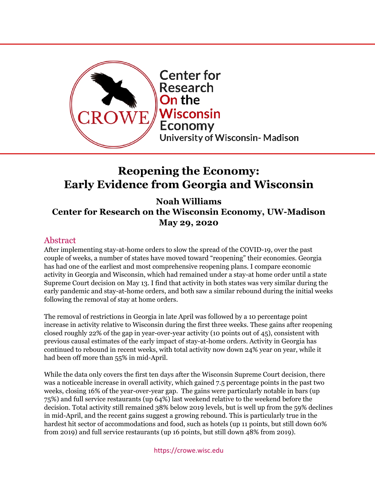

# **Reopening the Economy: Early Evidence from Georgia and Wisconsin**

**Noah Williams Center for Research on the Wisconsin Economy, UW-Madison May 29, 2020**

# Abstract

After implementing stay-at-home orders to slow the spread of the COVID-19, over the past couple of weeks, a number of states have moved toward "reopening" their economies. Georgia has had one of the earliest and most comprehensive reopening plans. I compare economic activity in Georgia and Wisconsin, which had remained under a stay-at home order until a state Supreme Court decision on May 13. I find that activity in both states was very similar during the early pandemic and stay-at-home orders, and both saw a similar rebound during the initial weeks following the removal of stay at home orders.

The removal of restrictions in Georgia in late April was followed by a 10 percentage point increase in activity relative to Wisconsin during the first three weeks. These gains after reopening closed roughly 22% of the gap in year-over-year activity (10 points out of 45), consistent with previous causal estimates of the early impact of stay-at-home orders. Activity in Georgia has continued to rebound in recent weeks, with total activity now down 24% year on year, while it had been off more than 55% in mid-April.

While the data only covers the first ten days after the Wisconsin Supreme Court decision, there was a noticeable increase in overall activity, which gained 7.5 percentage points in the past two weeks, closing 16% of the year-over-year gap. The gains were particularly notable in bars (up 75%) and full service restaurants (up 64%) last weekend relative to the weekend before the decision. Total activity still remained 38% below 2019 levels, but is well up from the 59% declines in mid-April, and the recent gains suggest a growing rebound. This is particularly true in the hardest hit sector of accommodations and food, such as hotels (up 11 points, but still down 60% from 2019) and full service restaurants (up 16 points, but still down 48% from 2019).

#### https://crowe.wisc.edu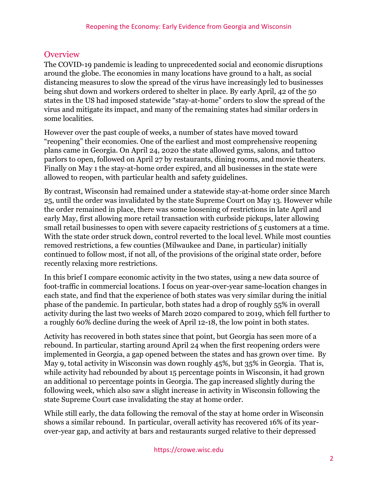# **Overview**

The COVID-19 pandemic is leading to unprecedented social and economic disruptions around the globe. The economies in many locations have ground to a halt, as social distancing measures to slow the spread of the virus have increasingly led to businesses being shut down and workers ordered to shelter in place. By early April, 42 of the 50 states in the US had imposed statewide "stay-at-home" orders to slow the spread of the virus and mitigate its impact, and many of the remaining states had similar orders in some localities.

However over the past couple of weeks, a number of states have moved toward "reopening" their economies. One of the earliest and most comprehensive reopening plans came in Georgia. On April 24, 2020 the state allowed gyms, salons, and tattoo parlors to open, followed on April 27 by restaurants, dining rooms, and movie theaters. Finally on May 1 the stay-at-home order expired, and all businesses in the state were allowed to reopen, with particular health and safety guidelines.

By contrast, Wisconsin had remained under a statewide stay-at-home order since March 25, until the order was invalidated by the state Supreme Court on May 13. However while the order remained in place, there was some loosening of restrictions in late April and early May, first allowing more retail transaction with curbside pickups, later allowing small retail businesses to open with severe capacity restrictions of 5 customers at a time. With the state order struck down, control reverted to the local level. While most counties removed restrictions, a few counties (Milwaukee and Dane, in particular) initially continued to follow most, if not all, of the provisions of the original state order, before recently relaxing more restrictions.

In this brief I compare economic activity in the two states, using a new data source of foot-traffic in commercial locations. I focus on year-over-year same-location changes in each state, and find that the experience of both states was very similar during the initial phase of the pandemic. In particular, both states had a drop of roughly 55% in overall activity during the last two weeks of March 2020 compared to 2019, which fell further to a roughly 60% decline during the week of April 12-18, the low point in both states.

Activity has recovered in both states since that point, but Georgia has seen more of a rebound. In particular, starting around April 24 when the first reopening orders were implemented in Georgia, a gap opened between the states and has grown over time. By May 9, total activity in Wisconsin was down roughly 45%, but 35% in Georgia. That is, while activity had rebounded by about 15 percentage points in Wisconsin, it had grown an additional 10 percentage points in Georgia. The gap increased slightly during the following week, which also saw a slight increase in activity in Wisconsin following the state Supreme Court case invalidating the stay at home order.

While still early, the data following the removal of the stay at home order in Wisconsin shows a similar rebound. In particular, overall activity has recovered 16% of its yearover-year gap, and activity at bars and restaurants surged relative to their depressed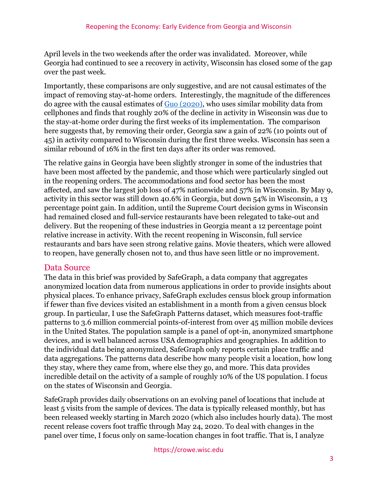April levels in the two weekends after the order was invalidated. Moreover, while Georgia had continued to see a recovery in activity, Wisconsin has closed some of the gap over the past week.

Importantly, these comparisons are only suggestive, and are not causal estimates of the impact of removing stay-at-home orders. Interestingly, the magnitude of the differences do agree with the causal estimates of [Guo \(2020\),](https://crowe.wisc.edu/wp-content/uploads/sites/313/2020/04/StayAtHome.pdf) who uses similar mobility data from cellphones and finds that roughly 20% of the decline in activity in Wisconsin was due to the stay-at-home order during the first weeks of its implementation. The comparison here suggests that, by removing their order, Georgia saw a gain of 22% (10 points out of 45) in activity compared to Wisconsin during the first three weeks. Wisconsin has seen a similar rebound of 16% in the first ten days after its order was removed.

The relative gains in Georgia have been slightly stronger in some of the industries that have been most affected by the pandemic, and those which were particularly singled out in the reopening orders. The accommodations and food sector has been the most affected, and saw the largest job loss of 47% nationwide and 57% in Wisconsin. By May 9, activity in this sector was still down 40.6% in Georgia, but down 54% in Wisconsin, a 13 percentage point gain. In addition, until the Supreme Court decision gyms in Wisconsin had remained closed and full-service restaurants have been relegated to take-out and delivery. But the reopening of these industries in Georgia meant a 12 percentage point relative increase in activity. With the recent reopening in Wisconsin, full service restaurants and bars have seen strong relative gains. Movie theaters, which were allowed to reopen, have generally chosen not to, and thus have seen little or no improvement.

## Data Source

The data in this brief was provided by SafeGraph, a data company that aggregates anonymized location data from numerous applications in order to provide insights about physical places. To enhance privacy, SafeGraph excludes census block group information if fewer than five devices visited an establishment in a month from a given census block group. In particular, I use the SafeGraph Patterns dataset, which measures foot-traffic patterns to 3.6 million commercial points-of-interest from over 45 million mobile devices in the United States. The population sample is a panel of opt-in, anonymized smartphone devices, and is well balanced across USA demographics and geographies. In addition to the individual data being anonymized, SafeGraph only reports certain place traffic and data aggregations. The patterns data describe how many people visit a location, how long they stay, where they came from, where else they go, and more. This data provides incredible detail on the activity of a sample of roughly 10% of the US population. I focus on the states of Wisconsin and Georgia.

SafeGraph provides daily observations on an evolving panel of locations that include at least 5 visits from the sample of devices. The data is typically released monthly, but has been released weekly starting in March 2020 (which also includes hourly data). The most recent release covers foot traffic through May 24, 2020. To deal with changes in the panel over time, I focus only on same-location changes in foot traffic. That is, I analyze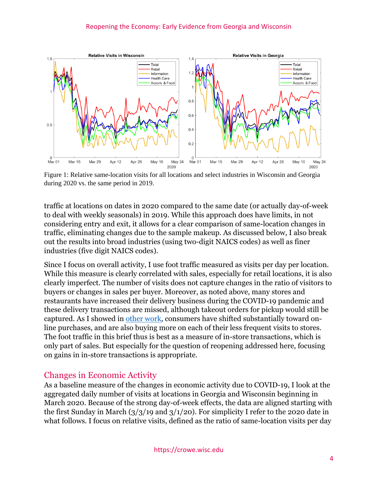

Figure 1: Relative same-location visits for all locations and select industries in Wisconsin and Georgia during 2020 vs. the same period in 2019.

traffic at locations on dates in 2020 compared to the same date (or actually day-of-week to deal with weekly seasonals) in 2019. While this approach does have limits, in not considering entry and exit, it allows for a clear comparison of same-location changes in traffic, eliminating changes due to the sample makeup. As discussed below, I also break out the results into broad industries (using two-digit NAICS codes) as well as finer industries (five digit NAICS codes).

Since I focus on overall activity, I use foot traffic measured as visits per day per location. While this measure is clearly correlated with sales, especially for retail locations, it is also clearly imperfect. The number of visits does not capture changes in the ratio of visitors to buyers or changes in sales per buyer. Moreover, as noted above, many stores and restaurants have increased their delivery business during the COVID-19 pandemic and these delivery transactions are missed, although takeout orders for pickup would still be captured. As I showed in [other work,](https://crowe.wisc.edu/wp-content/uploads/sites/313/2020/04/consumption.pdf) consumers have shifted substantially toward online purchases, and are also buying more on each of their less frequent visits to stores. The foot traffic in this brief thus is best as a measure of in-store transactions, which is only part of sales. But especially for the question of reopening addressed here, focusing on gains in in-store transactions is appropriate.

# Changes in Economic Activity

As a baseline measure of the changes in economic activity due to COVID-19, I look at the aggregated daily number of visits at locations in Georgia and Wisconsin beginning in March 2020. Because of the strong day-of-week effects, the data are aligned starting with the first Sunday in March  $\left(\frac{3}{3}\right)$  (1/20). For simplicity I refer to the 2020 date in what follows. I focus on relative visits, defined as the ratio of same-location visits per day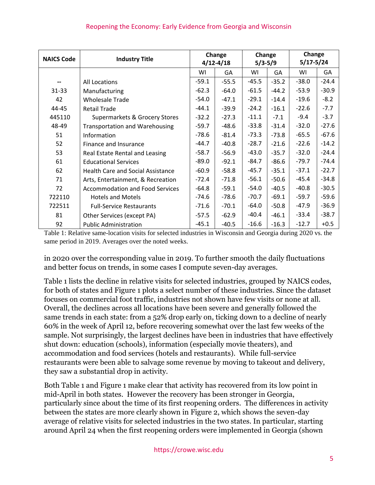| <b>NAICS Code</b> | <b>Industry Title</b>                    | Change<br>$4/12 - 4/18$ |         | Change<br>$5/3 - 5/9$ |         | Change<br>$5/17 - 5/24$ |         |
|-------------------|------------------------------------------|-------------------------|---------|-----------------------|---------|-------------------------|---------|
|                   |                                          | WI                      | GА      | WI                    | GΑ      | WI                      | GA      |
|                   | All Locations                            | $-59.1$                 | $-55.5$ | $-45.5$               | $-35.2$ | $-38.0$                 | $-24.4$ |
| $31 - 33$         | Manufacturing                            | $-62.3$                 | $-64.0$ | $-61.5$               | $-44.2$ | $-53.9$                 | $-30.9$ |
| 42                | <b>Wholesale Trade</b>                   | $-54.0$                 | $-47.1$ | $-29.1$               | $-14.4$ | $-19.6$                 | $-8.2$  |
| 44-45             | <b>Retail Trade</b>                      | $-44.1$                 | $-39.9$ | $-24.2$               | $-16.1$ | $-22.6$                 | $-7.7$  |
| 445110            | Supermarkets & Grocery Stores            | $-32.2$                 | $-27.3$ | $-11.1$               | $-7.1$  | $-9.4$                  | $-3.7$  |
| 48-49             | <b>Transportation and Warehousing</b>    | $-59.7$                 | $-48.6$ | $-33.8$               | $-31.4$ | $-32.0$                 | $-27.6$ |
| 51                | Information                              | $-78.6$                 | $-81.4$ | $-73.3$               | $-73.8$ | $-65.5$                 | $-67.6$ |
| 52                | Finance and Insurance                    | -44.7                   | $-40.8$ | $-28.7$               | $-21.6$ | $-22.6$                 | $-14.2$ |
| 53                | Real Estate Rental and Leasing           | $-58.7$                 | $-56.9$ | $-43.0$               | $-35.7$ | $-32.0$                 | $-24.4$ |
| 61                | <b>Educational Services</b>              | $-89.0$                 | $-92.1$ | -84.7                 | $-86.6$ | $-79.7$                 | $-74.4$ |
| 62                | <b>Health Care and Social Assistance</b> | $-60.9$                 | $-58.8$ | $-45.7$               | $-35.1$ | $-37.1$                 | $-22.7$ |
| 71                | Arts, Entertainment, & Recreation        | $-72.4$                 | $-71.8$ | $-56.1$               | $-50.6$ | $-45.4$                 | $-34.8$ |
| 72                | <b>Accommodation and Food Services</b>   | $-64.8$                 | $-59.1$ | $-54.0$               | $-40.5$ | $-40.8$                 | $-30.5$ |
| 722110            | <b>Hotels and Motels</b>                 | -74.6                   | $-78.6$ | $-70.7$               | $-69.1$ | $-59.7$                 | $-59.6$ |
| 722511            | <b>Full-Service Restaurants</b>          | $-71.6$                 | $-70.1$ | $-64.0$               | $-50.8$ | $-47.9$                 | $-36.9$ |
| 81                | Other Services (except PA)               | $-57.5$                 | $-62.9$ | $-40.4$               | $-46.1$ | $-33.4$                 | $-38.7$ |
| 92                | <b>Public Administration</b>             | $-45.1$                 | $-40.5$ | $-16.6$               | $-16.3$ | $-12.7$                 | $+0.5$  |

Table 1: Relative same-location visits for selected industries in Wisconsin and Georgia during 2020 vs. the same period in 2019. Averages over the noted weeks.

in 2020 over the corresponding value in 2019. To further smooth the daily fluctuations and better focus on trends, in some cases I compute seven-day averages.

Table 1 lists the decline in relative visits for selected industries, grouped by NAICS codes, for both of states and Figure 1 plots a select number of these industries. Since the dataset focuses on commercial foot traffic, industries not shown have few visits or none at all. Overall, the declines across all locations have been severe and generally followed the same trends in each state: from a 52% drop early on, ticking down to a decline of nearly 60% in the week of April 12, before recovering somewhat over the last few weeks of the sample. Not surprisingly, the largest declines have been in industries that have effectively shut down: education (schools), information (especially movie theaters), and accommodation and food services (hotels and restaurants). While full-service restaurants were been able to salvage some revenue by moving to takeout and delivery, they saw a substantial drop in activity.

Both Table 1 and Figure 1 make clear that activity has recovered from its low point in mid-April in both states. However the recovery has been stronger in Georgia, particularly since about the time of its first reopening orders. The differences in activity between the states are more clearly shown in Figure 2, which shows the seven-day average of relative visits for selected industries in the two states. In particular, starting around April 24 when the first reopening orders were implemented in Georgia (shown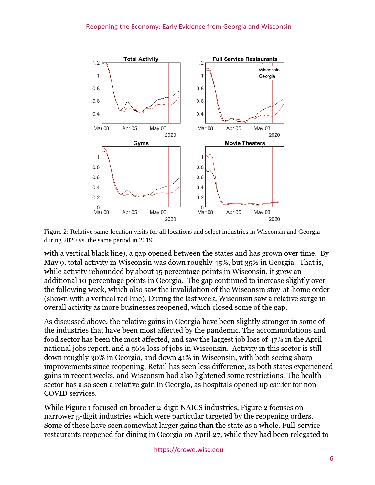#### Reopening the Economy: Early Evidence from Georgia and Wisconsin



Figure 2: Relative same-location visits for all locations and select industries in Wisconsin and Georgia during 2020 vs. the same period in 2019.

with a vertical black line), a gap opened between the states and has grown over time. By May 9, total activity in Wisconsin was down roughly 45%, but 35% in Georgia. That is, while activity rebounded by about 15 percentage points in Wisconsin, it grew an additional 10 percentage points in Georgia. The gap continued to increase slightly over the following week, which also saw the invalidation of the Wisconsin stay-at-home order (shown with a vertical red line). During the last week, Wisconsin saw a relative surge in overall activity as more businesses reopened, which closed some of the gap.

As discussed above, the relative gains in Georgia have been slightly stronger in some of the industries that have been most affected by the pandemic. The accommodations and food sector has been the most affected, and saw the largest job loss of 47% in the April national jobs report, and a 56% loss of jobs in Wisconsin. Activity in this sector is still down roughly 30% in Georgia, and down 41% in Wisconsin, with both seeing sharp improvements since reopening. Retail has seen less difference, as both states experienced gains in recent weeks, and Wisconsin had also lightened some restrictions. The health sector has also seen a relative gain in Georgia, as hospitals opened up earlier for non-COVID services.

While Figure 1 focused on broader 2-digit NAICS industries, Figure 2 focuses on narrower 5-digit industries which were particular targeted by the reopening orders. Some of these have seen somewhat larger gains than the state as a whole. Full-service restaurants reopened for dining in Georgia on April 27, while they had been relegated to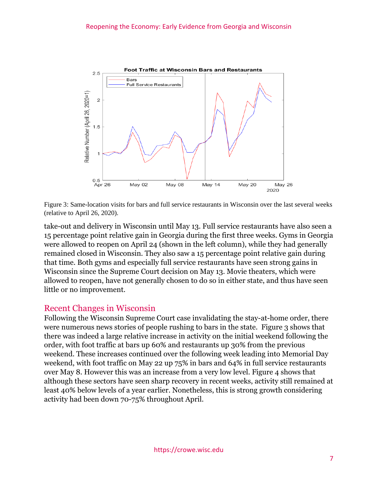

Figure 3: Same-location visits for bars and full service restaurants in Wisconsin over the last several weeks (relative to April 26, 2020).

take-out and delivery in Wisconsin until May 13. Full service restaurants have also seen a 15 percentage point relative gain in Georgia during the first three weeks. Gyms in Georgia were allowed to reopen on April 24 (shown in the left column), while they had generally remained closed in Wisconsin. They also saw a 15 percentage point relative gain during that time. Both gyms and especially full service restaurants have seen strong gains in Wisconsin since the Supreme Court decision on May 13. Movie theaters, which were allowed to reopen, have not generally chosen to do so in either state, and thus have seen little or no improvement.

## Recent Changes in Wisconsin

Following the Wisconsin Supreme Court case invalidating the stay-at-home order, there were numerous news stories of people rushing to bars in the state. Figure 3 shows that there was indeed a large relative increase in activity on the initial weekend following the order, with foot traffic at bars up 60% and restaurants up 30% from the previous weekend. These increases continued over the following week leading into Memorial Day weekend, with foot traffic on May 22 up 75% in bars and 64% in full service restaurants over May 8. However this was an increase from a very low level. Figure 4 shows that although these sectors have seen sharp recovery in recent weeks, activity still remained at least 40% below levels of a year earlier. Nonetheless, this is strong growth considering activity had been down 70-75% throughout April.